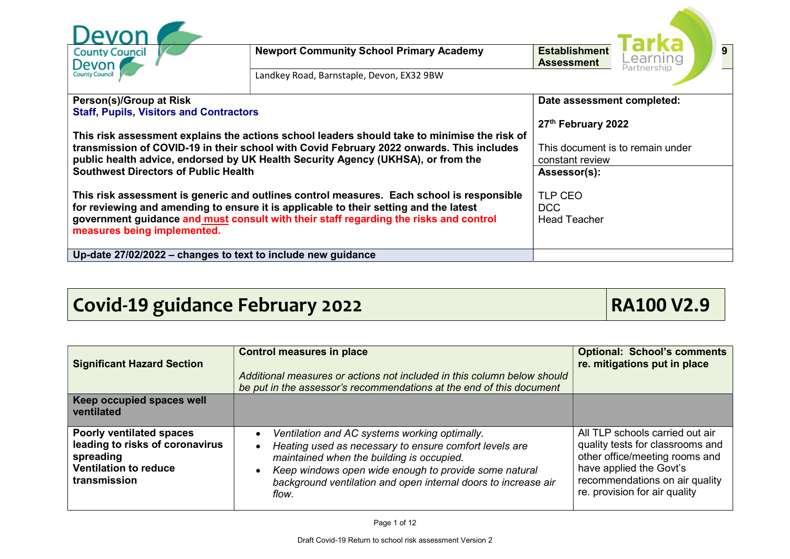| <b>County Council</b><br>Devon<br><b>County Council</b>                                                                                                                                                                                                                                                                                                                                                  | <b>Newport Community School Primary Academy</b><br>Landkey Road, Barnstaple, Devon, EX32 9BW | <b>Establishment</b><br><b>Assessment</b> | $\overline{9}$<br>Learning<br>Partnership |
|----------------------------------------------------------------------------------------------------------------------------------------------------------------------------------------------------------------------------------------------------------------------------------------------------------------------------------------------------------------------------------------------------------|----------------------------------------------------------------------------------------------|-------------------------------------------|-------------------------------------------|
| Person(s)/Group at Risk<br><b>Staff, Pupils, Visitors and Contractors</b><br>This risk assessment explains the actions school leaders should take to minimise the risk of<br>transmission of COVID-19 in their school with Covid February 2022 onwards. This includes<br>public health advice, endorsed by UK Health Security Agency (UKHSA), or from the<br><b>Southwest Directors of Public Health</b> | Date assessment completed:<br>27th February 2022<br>constant review<br>Assessor(s):          | This document is to remain under          |                                           |
| This risk assessment is generic and outlines control measures. Each school is responsible<br>for reviewing and amending to ensure it is applicable to their setting and the latest<br>government guidance and must consult with their staff regarding the risks and control<br>measures being implemented.                                                                                               | TLP CEO<br>DCC<br><b>Head Teacher</b>                                                        |                                           |                                           |
| Up-date 27/02/2022 – changes to text to include new guidance                                                                                                                                                                                                                                                                                                                                             |                                                                                              |                                           |                                           |

## Covid-19 guidance February 2022 **RA100 V2.9**

| <b>Significant Hazard Section</b>                                                                                        | <b>Control measures in place</b><br>Additional measures or actions not included in this column below should<br>be put in the assessor's recommendations at the end of this document                                                                                                                                | <b>Optional: School's comments</b><br>re. mitigations put in place                                                                                                                                  |
|--------------------------------------------------------------------------------------------------------------------------|--------------------------------------------------------------------------------------------------------------------------------------------------------------------------------------------------------------------------------------------------------------------------------------------------------------------|-----------------------------------------------------------------------------------------------------------------------------------------------------------------------------------------------------|
| Keep occupied spaces well<br>ventilated                                                                                  |                                                                                                                                                                                                                                                                                                                    |                                                                                                                                                                                                     |
| Poorly ventilated spaces<br>leading to risks of coronavirus<br>spreading<br><b>Ventilation to reduce</b><br>transmission | Ventilation and AC systems working optimally.<br>Heating used as necessary to ensure comfort levels are<br>$\bullet$<br>maintained when the building is occupied.<br>Keep windows open wide enough to provide some natural<br>$\bullet$<br>background ventilation and open internal doors to increase air<br>flow. | All TLP schools carried out air<br>quality tests for classrooms and<br>other office/meeting rooms and<br>have applied the Govt's<br>recommendations on air quality<br>re. provision for air quality |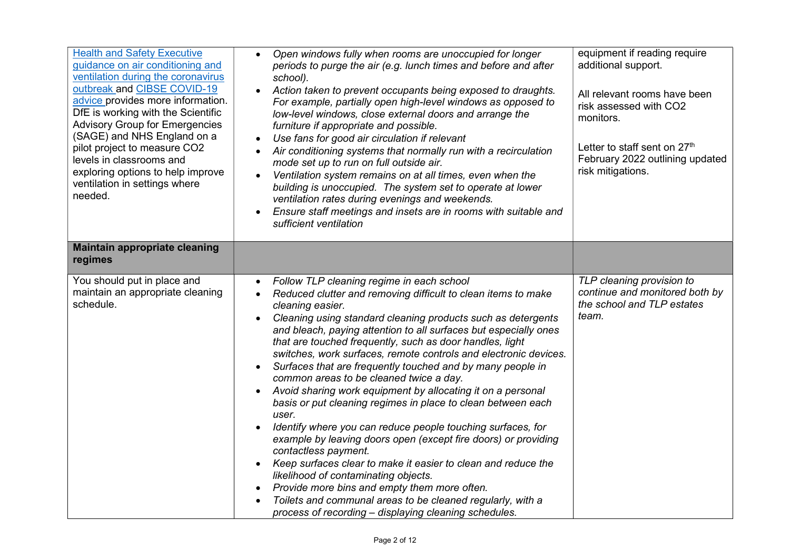| <b>Health and Safety Executive</b><br>quidance on air conditioning and<br>ventilation during the coronavirus<br>outbreak and CIBSE COVID-19<br>advice provides more information.<br>DfE is working with the Scientific<br><b>Advisory Group for Emergencies</b><br>(SAGE) and NHS England on a<br>pilot project to measure CO2<br>levels in classrooms and<br>exploring options to help improve<br>ventilation in settings where<br>needed. | Open windows fully when rooms are unoccupied for longer<br>periods to purge the air (e.g. lunch times and before and after<br>school).<br>Action taken to prevent occupants being exposed to draughts.<br>For example, partially open high-level windows as opposed to<br>low-level windows, close external doors and arrange the<br>furniture if appropriate and possible.<br>Use fans for good air circulation if relevant<br>$\bullet$<br>Air conditioning systems that normally run with a recirculation<br>$\bullet$<br>mode set up to run on full outside air.<br>Ventilation system remains on at all times, even when the<br>building is unoccupied. The system set to operate at lower<br>ventilation rates during evenings and weekends.<br>Ensure staff meetings and insets are in rooms with suitable and<br>$\bullet$<br>sufficient ventilation                                                                                                                                                                                                                                                                                                                            | equipment if reading require<br>additional support.<br>All relevant rooms have been<br>risk assessed with CO2<br>monitors.<br>Letter to staff sent on 27 <sup>th</sup><br>February 2022 outlining updated<br>risk mitigations. |
|---------------------------------------------------------------------------------------------------------------------------------------------------------------------------------------------------------------------------------------------------------------------------------------------------------------------------------------------------------------------------------------------------------------------------------------------|-----------------------------------------------------------------------------------------------------------------------------------------------------------------------------------------------------------------------------------------------------------------------------------------------------------------------------------------------------------------------------------------------------------------------------------------------------------------------------------------------------------------------------------------------------------------------------------------------------------------------------------------------------------------------------------------------------------------------------------------------------------------------------------------------------------------------------------------------------------------------------------------------------------------------------------------------------------------------------------------------------------------------------------------------------------------------------------------------------------------------------------------------------------------------------------------|--------------------------------------------------------------------------------------------------------------------------------------------------------------------------------------------------------------------------------|
| <b>Maintain appropriate cleaning</b><br>regimes                                                                                                                                                                                                                                                                                                                                                                                             |                                                                                                                                                                                                                                                                                                                                                                                                                                                                                                                                                                                                                                                                                                                                                                                                                                                                                                                                                                                                                                                                                                                                                                                         |                                                                                                                                                                                                                                |
| You should put in place and<br>maintain an appropriate cleaning<br>schedule.                                                                                                                                                                                                                                                                                                                                                                | Follow TLP cleaning regime in each school<br>$\bullet$<br>Reduced clutter and removing difficult to clean items to make<br>$\bullet$<br>cleaning easier.<br>Cleaning using standard cleaning products such as detergents<br>and bleach, paying attention to all surfaces but especially ones<br>that are touched frequently, such as door handles, light<br>switches, work surfaces, remote controls and electronic devices.<br>Surfaces that are frequently touched and by many people in<br>$\bullet$<br>common areas to be cleaned twice a day.<br>Avoid sharing work equipment by allocating it on a personal<br>$\bullet$<br>basis or put cleaning regimes in place to clean between each<br>user.<br>Identify where you can reduce people touching surfaces, for<br>$\bullet$<br>example by leaving doors open (except fire doors) or providing<br>contactless payment.<br>Keep surfaces clear to make it easier to clean and reduce the<br>$\bullet$<br>likelihood of contaminating objects.<br>Provide more bins and empty them more often.<br>$\bullet$<br>Toilets and communal areas to be cleaned regularly, with a<br>process of recording - displaying cleaning schedules. | TLP cleaning provision to<br>continue and monitored both by<br>the school and TLP estates<br>team.                                                                                                                             |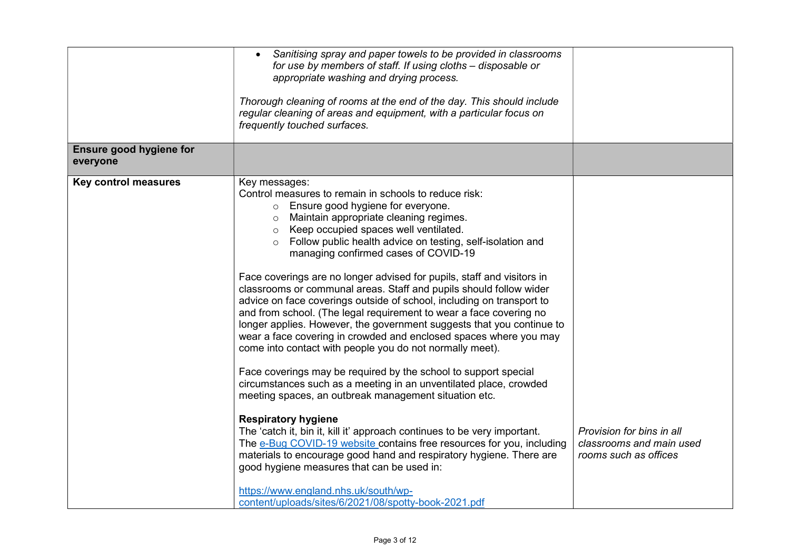| Sanitising spray and paper towels to be provided in classrooms<br>appropriate washing and drying process.                                                                                       |                                                                                                                                                                                                                                                                                                                                                                                                                                                                                                                                                                                                                                                                                                                                                                                                                                                                                                                                                                                                                                                                                                                                                                                                                                                                                                                                                                                                                                                                                      |
|-------------------------------------------------------------------------------------------------------------------------------------------------------------------------------------------------|--------------------------------------------------------------------------------------------------------------------------------------------------------------------------------------------------------------------------------------------------------------------------------------------------------------------------------------------------------------------------------------------------------------------------------------------------------------------------------------------------------------------------------------------------------------------------------------------------------------------------------------------------------------------------------------------------------------------------------------------------------------------------------------------------------------------------------------------------------------------------------------------------------------------------------------------------------------------------------------------------------------------------------------------------------------------------------------------------------------------------------------------------------------------------------------------------------------------------------------------------------------------------------------------------------------------------------------------------------------------------------------------------------------------------------------------------------------------------------------|
|                                                                                                                                                                                                 |                                                                                                                                                                                                                                                                                                                                                                                                                                                                                                                                                                                                                                                                                                                                                                                                                                                                                                                                                                                                                                                                                                                                                                                                                                                                                                                                                                                                                                                                                      |
| o Ensure good hygiene for everyone.<br>o Keep occupied spaces well ventilated.<br>Follow public health advice on testing, self-isolation and<br>$\circ$<br>managing confirmed cases of COVID-19 | Provision for bins in all<br>classrooms and main used<br>rooms such as offices                                                                                                                                                                                                                                                                                                                                                                                                                                                                                                                                                                                                                                                                                                                                                                                                                                                                                                                                                                                                                                                                                                                                                                                                                                                                                                                                                                                                       |
|                                                                                                                                                                                                 | for use by members of staff. If using cloths – disposable or<br>Thorough cleaning of rooms at the end of the day. This should include<br>regular cleaning of areas and equipment, with a particular focus on<br>frequently touched surfaces.<br>Key messages:<br>Control measures to remain in schools to reduce risk:<br>o Maintain appropriate cleaning regimes.<br>Face coverings are no longer advised for pupils, staff and visitors in<br>classrooms or communal areas. Staff and pupils should follow wider<br>advice on face coverings outside of school, including on transport to<br>and from school. (The legal requirement to wear a face covering no<br>longer applies. However, the government suggests that you continue to<br>wear a face covering in crowded and enclosed spaces where you may<br>come into contact with people you do not normally meet).<br>Face coverings may be required by the school to support special<br>circumstances such as a meeting in an unventilated place, crowded<br>meeting spaces, an outbreak management situation etc.<br><b>Respiratory hygiene</b><br>The 'catch it, bin it, kill it' approach continues to be very important.<br>The e-Bug COVID-19 website contains free resources for you, including<br>materials to encourage good hand and respiratory hygiene. There are<br>good hygiene measures that can be used in:<br>https://www.england.nhs.uk/south/wp-<br>content/uploads/sites/6/2021/08/spotty-book-2021.pdf |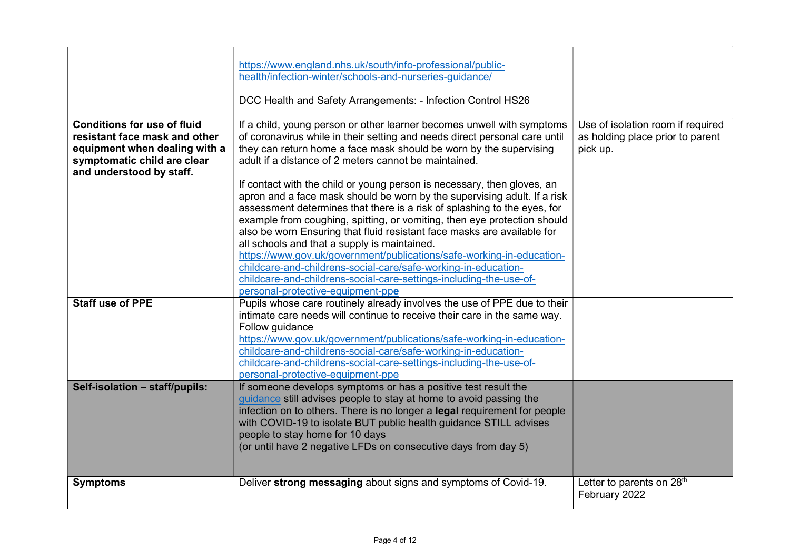|                                                                                                                                                                 | https://www.england.nhs.uk/south/info-professional/public-<br>health/infection-winter/schools-and-nurseries-guidance/<br>DCC Health and Safety Arrangements: - Infection Control HS26                                                                                                                                                                                                                                                                                                                                                                                                                                                                                                                                                                                                                                                                                                                                                          |                                                                                   |
|-----------------------------------------------------------------------------------------------------------------------------------------------------------------|------------------------------------------------------------------------------------------------------------------------------------------------------------------------------------------------------------------------------------------------------------------------------------------------------------------------------------------------------------------------------------------------------------------------------------------------------------------------------------------------------------------------------------------------------------------------------------------------------------------------------------------------------------------------------------------------------------------------------------------------------------------------------------------------------------------------------------------------------------------------------------------------------------------------------------------------|-----------------------------------------------------------------------------------|
| <b>Conditions for use of fluid</b><br>resistant face mask and other<br>equipment when dealing with a<br>symptomatic child are clear<br>and understood by staff. | If a child, young person or other learner becomes unwell with symptoms<br>of coronavirus while in their setting and needs direct personal care until<br>they can return home a face mask should be worn by the supervising<br>adult if a distance of 2 meters cannot be maintained.<br>If contact with the child or young person is necessary, then gloves, an<br>apron and a face mask should be worn by the supervising adult. If a risk<br>assessment determines that there is a risk of splashing to the eyes, for<br>example from coughing, spitting, or vomiting, then eye protection should<br>also be worn Ensuring that fluid resistant face masks are available for<br>all schools and that a supply is maintained.<br>https://www.gov.uk/government/publications/safe-working-in-education-<br>childcare-and-childrens-social-care/safe-working-in-education-<br>childcare-and-childrens-social-care-settings-including-the-use-of- | Use of isolation room if required<br>as holding place prior to parent<br>pick up. |
| <b>Staff use of PPE</b>                                                                                                                                         | personal-protective-equipment-ppe<br>Pupils whose care routinely already involves the use of PPE due to their                                                                                                                                                                                                                                                                                                                                                                                                                                                                                                                                                                                                                                                                                                                                                                                                                                  |                                                                                   |
|                                                                                                                                                                 | intimate care needs will continue to receive their care in the same way.<br>Follow guidance<br>https://www.gov.uk/government/publications/safe-working-in-education-<br>childcare-and-childrens-social-care/safe-working-in-education-<br>childcare-and-childrens-social-care-settings-including-the-use-of-<br>personal-protective-equipment-ppe                                                                                                                                                                                                                                                                                                                                                                                                                                                                                                                                                                                              |                                                                                   |
| Self-isolation - staff/pupils:                                                                                                                                  | If someone develops symptoms or has a positive test result the<br>guidance still advises people to stay at home to avoid passing the<br>infection on to others. There is no longer a legal requirement for people<br>with COVID-19 to isolate BUT public health guidance STILL advises<br>people to stay home for 10 days<br>(or until have 2 negative LFDs on consecutive days from day 5)                                                                                                                                                                                                                                                                                                                                                                                                                                                                                                                                                    |                                                                                   |
| <b>Symptoms</b>                                                                                                                                                 | Deliver strong messaging about signs and symptoms of Covid-19.                                                                                                                                                                                                                                                                                                                                                                                                                                                                                                                                                                                                                                                                                                                                                                                                                                                                                 | Letter to parents on 28 <sup>th</sup><br>February 2022                            |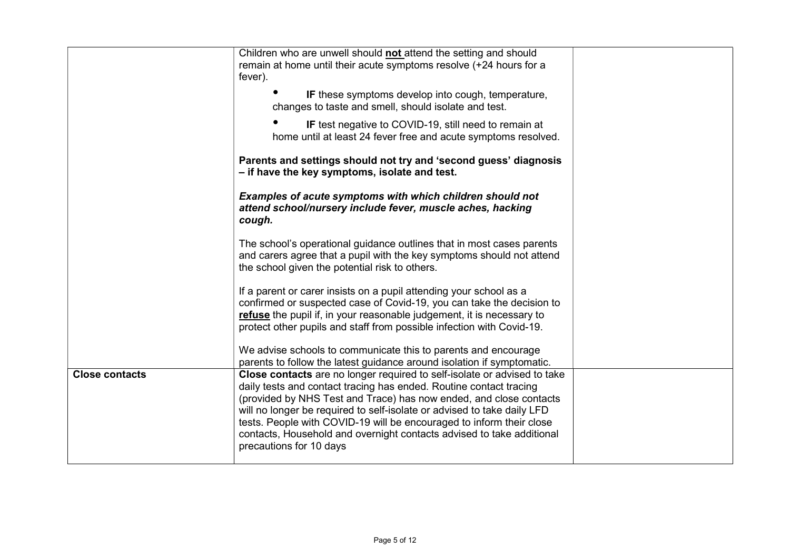|                       | Children who are unwell should not attend the setting and should<br>remain at home until their acute symptoms resolve (+24 hours for a<br>fever).                                                                                                                                                                                                                                                                                                                           |  |
|-----------------------|-----------------------------------------------------------------------------------------------------------------------------------------------------------------------------------------------------------------------------------------------------------------------------------------------------------------------------------------------------------------------------------------------------------------------------------------------------------------------------|--|
|                       | IF these symptoms develop into cough, temperature,<br>changes to taste and smell, should isolate and test.                                                                                                                                                                                                                                                                                                                                                                  |  |
|                       | IF test negative to COVID-19, still need to remain at<br>home until at least 24 fever free and acute symptoms resolved.                                                                                                                                                                                                                                                                                                                                                     |  |
|                       | Parents and settings should not try and 'second guess' diagnosis<br>- if have the key symptoms, isolate and test.                                                                                                                                                                                                                                                                                                                                                           |  |
|                       | Examples of acute symptoms with which children should not<br>attend school/nursery include fever, muscle aches, hacking<br>cough.                                                                                                                                                                                                                                                                                                                                           |  |
|                       | The school's operational guidance outlines that in most cases parents<br>and carers agree that a pupil with the key symptoms should not attend<br>the school given the potential risk to others.                                                                                                                                                                                                                                                                            |  |
|                       | If a parent or carer insists on a pupil attending your school as a<br>confirmed or suspected case of Covid-19, you can take the decision to<br>refuse the pupil if, in your reasonable judgement, it is necessary to<br>protect other pupils and staff from possible infection with Covid-19.                                                                                                                                                                               |  |
|                       | We advise schools to communicate this to parents and encourage<br>parents to follow the latest guidance around isolation if symptomatic.                                                                                                                                                                                                                                                                                                                                    |  |
| <b>Close contacts</b> | Close contacts are no longer required to self-isolate or advised to take<br>daily tests and contact tracing has ended. Routine contact tracing<br>(provided by NHS Test and Trace) has now ended, and close contacts<br>will no longer be required to self-isolate or advised to take daily LFD<br>tests. People with COVID-19 will be encouraged to inform their close<br>contacts, Household and overnight contacts advised to take additional<br>precautions for 10 days |  |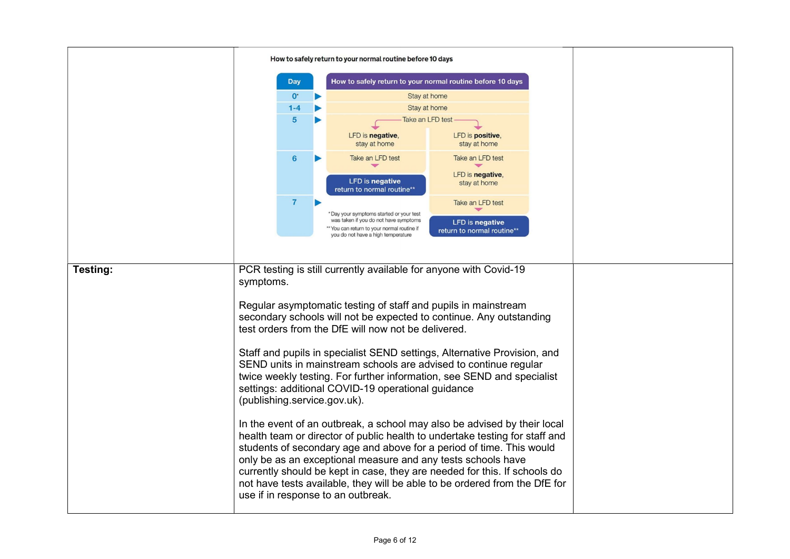|          | How to safely return to your normal routine before 10 days                                                                                 |                              |  |                                                                                   |                            |  |
|----------|--------------------------------------------------------------------------------------------------------------------------------------------|------------------------------|--|-----------------------------------------------------------------------------------|----------------------------|--|
|          |                                                                                                                                            | <b>Day</b>                   |  | How to safely return to your normal routine before 10 days                        |                            |  |
|          |                                                                                                                                            | $0^{\circ}$                  |  | Stay at home                                                                      |                            |  |
|          |                                                                                                                                            | $1 - 4$                      |  | Stay at home                                                                      |                            |  |
|          |                                                                                                                                            | 5                            |  | Take an LFD test                                                                  |                            |  |
|          |                                                                                                                                            |                              |  | LFD is negative,                                                                  | LFD is positive,           |  |
|          |                                                                                                                                            |                              |  | stay at home                                                                      | stay at home               |  |
|          |                                                                                                                                            | 6                            |  | Take an LFD test                                                                  | Take an LFD test           |  |
|          |                                                                                                                                            |                              |  | ᆓ                                                                                 | LFD is negative,           |  |
|          |                                                                                                                                            |                              |  | <b>LFD</b> is negative                                                            | stay at home               |  |
|          |                                                                                                                                            |                              |  | return to normal routine**                                                        |                            |  |
|          |                                                                                                                                            | $\overline{7}$               |  |                                                                                   | Take an LFD test           |  |
|          |                                                                                                                                            |                              |  | *Day your symptoms started or your test<br>was taken if you do not have symptoms  | <b>LFD</b> is negative     |  |
|          |                                                                                                                                            |                              |  | ** You can return to your normal routine if<br>you do not have a high temperature | return to normal routine** |  |
|          |                                                                                                                                            |                              |  |                                                                                   |                            |  |
|          |                                                                                                                                            |                              |  |                                                                                   |                            |  |
| Testing: | PCR testing is still currently available for anyone with Covid-19                                                                          |                              |  |                                                                                   |                            |  |
|          | symptoms.                                                                                                                                  |                              |  |                                                                                   |                            |  |
|          |                                                                                                                                            |                              |  |                                                                                   |                            |  |
|          |                                                                                                                                            |                              |  | Regular asymptomatic testing of staff and pupils in mainstream                    |                            |  |
|          |                                                                                                                                            |                              |  | secondary schools will not be expected to continue. Any outstanding               |                            |  |
|          |                                                                                                                                            |                              |  | test orders from the DfE will now not be delivered.                               |                            |  |
|          |                                                                                                                                            |                              |  | Staff and pupils in specialist SEND settings, Alternative Provision, and          |                            |  |
|          |                                                                                                                                            |                              |  |                                                                                   |                            |  |
|          | SEND units in mainstream schools are advised to continue regular<br>twice weekly testing. For further information, see SEND and specialist |                              |  |                                                                                   |                            |  |
|          |                                                                                                                                            |                              |  | settings: additional COVID-19 operational guidance                                |                            |  |
|          |                                                                                                                                            |                              |  |                                                                                   |                            |  |
|          |                                                                                                                                            | (publishing.service.gov.uk). |  |                                                                                   |                            |  |
|          |                                                                                                                                            |                              |  | In the event of an outbreak, a school may also be advised by their local          |                            |  |
|          |                                                                                                                                            |                              |  | health team or director of public health to undertake testing for staff and       |                            |  |
|          |                                                                                                                                            |                              |  | students of secondary age and above for a period of time. This would              |                            |  |
|          |                                                                                                                                            |                              |  | only be as an exceptional measure and any tests schools have                      |                            |  |
|          |                                                                                                                                            |                              |  | currently should be kept in case, they are needed for this. If schools do         |                            |  |
|          |                                                                                                                                            |                              |  | not have tests available, they will be able to be ordered from the DfE for        |                            |  |
|          |                                                                                                                                            |                              |  | use if in response to an outbreak.                                                |                            |  |
|          |                                                                                                                                            |                              |  |                                                                                   |                            |  |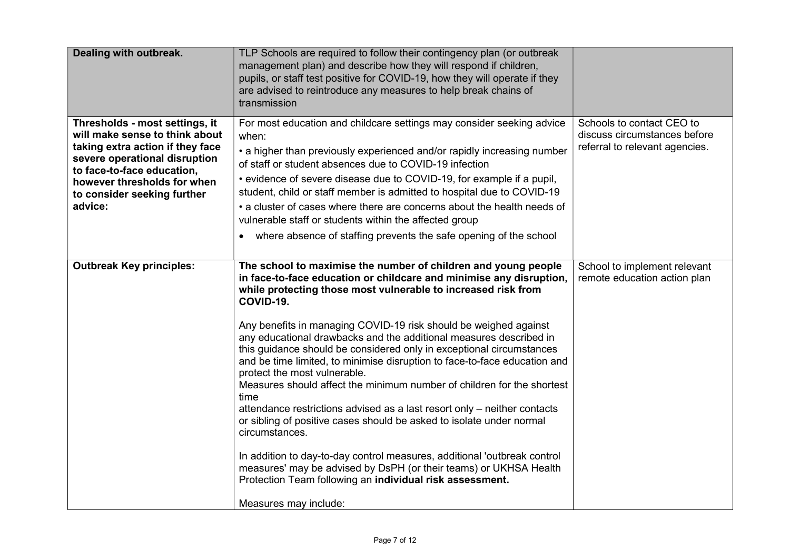| Dealing with outbreak.                                                                                                                                                                                                                       | TLP Schools are required to follow their contingency plan (or outbreak<br>management plan) and describe how they will respond if children,<br>pupils, or staff test positive for COVID-19, how they will operate if they<br>are advised to reintroduce any measures to help break chains of<br>transmission                                                                                                                                                                                                                                                                                                                                                                                                                                                                                                                                                                                                                                                                                                                                      |                                                                                             |
|----------------------------------------------------------------------------------------------------------------------------------------------------------------------------------------------------------------------------------------------|--------------------------------------------------------------------------------------------------------------------------------------------------------------------------------------------------------------------------------------------------------------------------------------------------------------------------------------------------------------------------------------------------------------------------------------------------------------------------------------------------------------------------------------------------------------------------------------------------------------------------------------------------------------------------------------------------------------------------------------------------------------------------------------------------------------------------------------------------------------------------------------------------------------------------------------------------------------------------------------------------------------------------------------------------|---------------------------------------------------------------------------------------------|
| Thresholds - most settings, it<br>will make sense to think about<br>taking extra action if they face<br>severe operational disruption<br>to face-to-face education,<br>however thresholds for when<br>to consider seeking further<br>advice: | For most education and childcare settings may consider seeking advice<br>when:<br>• a higher than previously experienced and/or rapidly increasing number<br>of staff or student absences due to COVID-19 infection<br>• evidence of severe disease due to COVID-19, for example if a pupil,<br>student, child or staff member is admitted to hospital due to COVID-19<br>• a cluster of cases where there are concerns about the health needs of<br>vulnerable staff or students within the affected group<br>where absence of staffing prevents the safe opening of the school<br>$\bullet$                                                                                                                                                                                                                                                                                                                                                                                                                                                    | Schools to contact CEO to<br>discuss circumstances before<br>referral to relevant agencies. |
| <b>Outbreak Key principles:</b>                                                                                                                                                                                                              | The school to maximise the number of children and young people<br>in face-to-face education or childcare and minimise any disruption,<br>while protecting those most vulnerable to increased risk from<br>COVID-19.<br>Any benefits in managing COVID-19 risk should be weighed against<br>any educational drawbacks and the additional measures described in<br>this guidance should be considered only in exceptional circumstances<br>and be time limited, to minimise disruption to face-to-face education and<br>protect the most vulnerable.<br>Measures should affect the minimum number of children for the shortest<br>time<br>attendance restrictions advised as a last resort only - neither contacts<br>or sibling of positive cases should be asked to isolate under normal<br>circumstances.<br>In addition to day-to-day control measures, additional 'outbreak control<br>measures' may be advised by DsPH (or their teams) or UKHSA Health<br>Protection Team following an individual risk assessment.<br>Measures may include: | School to implement relevant<br>remote education action plan                                |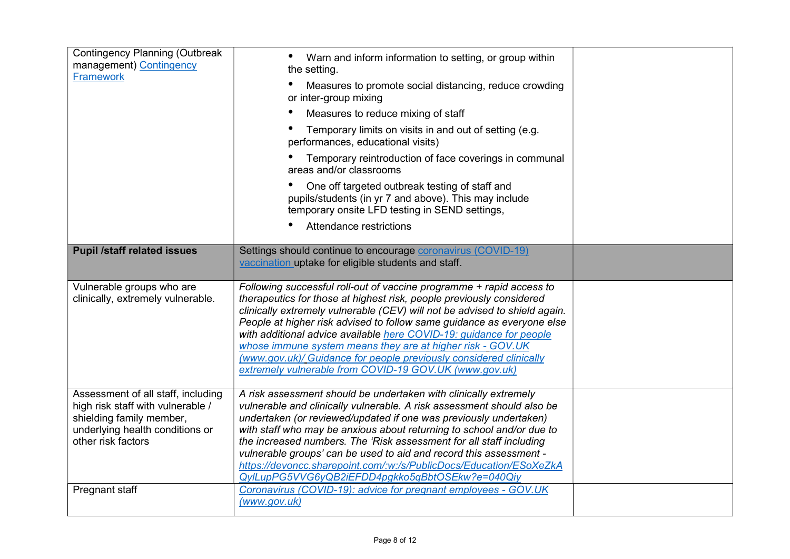| <b>Contingency Planning (Outbreak</b><br>management) Contingency<br><b>Framework</b>                                                                         | Warn and inform information to setting, or group within<br>the setting.<br>Measures to promote social distancing, reduce crowding<br>or inter-group mixing<br>Measures to reduce mixing of staff<br>Temporary limits on visits in and out of setting (e.g.<br>performances, educational visits)<br>Temporary reintroduction of face coverings in communal<br>areas and/or classrooms<br>One off targeted outbreak testing of staff and<br>pupils/students (in yr 7 and above). This may include<br>temporary onsite LFD testing in SEND settings,<br>Attendance restrictions |  |
|--------------------------------------------------------------------------------------------------------------------------------------------------------------|------------------------------------------------------------------------------------------------------------------------------------------------------------------------------------------------------------------------------------------------------------------------------------------------------------------------------------------------------------------------------------------------------------------------------------------------------------------------------------------------------------------------------------------------------------------------------|--|
| <b>Pupil /staff related issues</b>                                                                                                                           | Settings should continue to encourage coronavirus (COVID-19)<br>vaccination uptake for eligible students and staff.                                                                                                                                                                                                                                                                                                                                                                                                                                                          |  |
| Vulnerable groups who are<br>clinically, extremely vulnerable.                                                                                               | Following successful roll-out of vaccine programme + rapid access to<br>therapeutics for those at highest risk, people previously considered<br>clinically extremely vulnerable (CEV) will not be advised to shield again.<br>People at higher risk advised to follow same guidance as everyone else<br>with additional advice available here COVID-19: guidance for people<br>whose immune system means they are at higher risk - GOV.UK<br>(www.gov.uk)/ Guidance for people previously considered clinically<br>extremely vulnerable from COVID-19 GOV.UK (www.gov.uk)    |  |
| Assessment of all staff, including<br>high risk staff with vulnerable /<br>shielding family member,<br>underlying health conditions or<br>other risk factors | A risk assessment should be undertaken with clinically extremely<br>vulnerable and clinically vulnerable. A risk assessment should also be<br>undertaken (or reviewed/updated if one was previously undertaken)<br>with staff who may be anxious about returning to school and/or due to<br>the increased numbers. The 'Risk assessment for all staff including<br>vulnerable groups' can be used to aid and record this assessment -<br>https://devoncc.sharepoint.com/:w:/s/PublicDocs/Education/ESoXeZkA<br>QylLupPG5VVG6yQB2iEFDD4pgkko5qBbtOSEkw?e=040Qiy               |  |
| Pregnant staff                                                                                                                                               | Coronavirus (COVID-19): advice for pregnant employees - GOV.UK<br>(www.gov.uk)                                                                                                                                                                                                                                                                                                                                                                                                                                                                                               |  |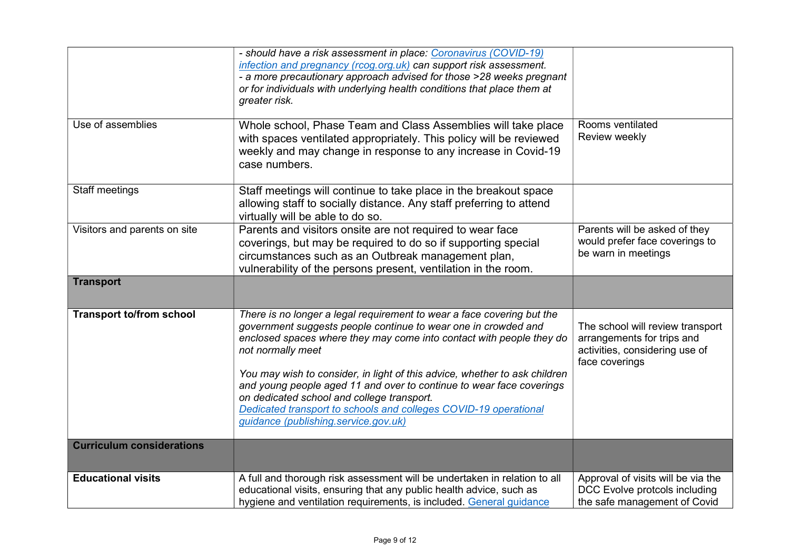|                                  | - should have a risk assessment in place: Coronavirus (COVID-19)<br>infection and pregnancy (rcog.org.uk) can support risk assessment.<br>- a more precautionary approach advised for those >28 weeks pregnant<br>or for individuals with underlying health conditions that place them at<br>greater risk.                                                                                                                                                                                                                                            |                                                                                                                    |
|----------------------------------|-------------------------------------------------------------------------------------------------------------------------------------------------------------------------------------------------------------------------------------------------------------------------------------------------------------------------------------------------------------------------------------------------------------------------------------------------------------------------------------------------------------------------------------------------------|--------------------------------------------------------------------------------------------------------------------|
| Use of assemblies                | Whole school, Phase Team and Class Assemblies will take place<br>with spaces ventilated appropriately. This policy will be reviewed<br>weekly and may change in response to any increase in Covid-19<br>case numbers.                                                                                                                                                                                                                                                                                                                                 | Rooms ventilated<br>Review weekly                                                                                  |
| Staff meetings                   | Staff meetings will continue to take place in the breakout space<br>allowing staff to socially distance. Any staff preferring to attend<br>virtually will be able to do so.                                                                                                                                                                                                                                                                                                                                                                           |                                                                                                                    |
| Visitors and parents on site     | Parents and visitors onsite are not required to wear face<br>coverings, but may be required to do so if supporting special<br>circumstances such as an Outbreak management plan,<br>vulnerability of the persons present, ventilation in the room.                                                                                                                                                                                                                                                                                                    | Parents will be asked of they<br>would prefer face coverings to<br>be warn in meetings                             |
| <b>Transport</b>                 |                                                                                                                                                                                                                                                                                                                                                                                                                                                                                                                                                       |                                                                                                                    |
| <b>Transport to/from school</b>  | There is no longer a legal requirement to wear a face covering but the<br>government suggests people continue to wear one in crowded and<br>enclosed spaces where they may come into contact with people they do<br>not normally meet<br>You may wish to consider, in light of this advice, whether to ask children<br>and young people aged 11 and over to continue to wear face coverings<br>on dedicated school and college transport.<br>Dedicated transport to schools and colleges COVID-19 operational<br>guidance (publishing.service.gov.uk) | The school will review transport<br>arrangements for trips and<br>activities, considering use of<br>face coverings |
| <b>Curriculum considerations</b> |                                                                                                                                                                                                                                                                                                                                                                                                                                                                                                                                                       |                                                                                                                    |
| <b>Educational visits</b>        | A full and thorough risk assessment will be undertaken in relation to all<br>educational visits, ensuring that any public health advice, such as<br>hygiene and ventilation requirements, is included. General guidance                                                                                                                                                                                                                                                                                                                               | Approval of visits will be via the<br>DCC Evolve protcols including<br>the safe management of Covid                |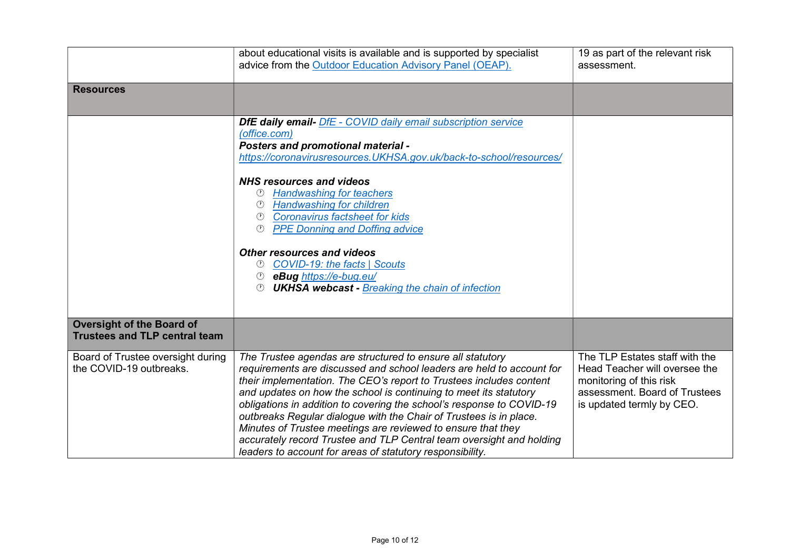|                                                                          | about educational visits is available and is supported by specialist<br>advice from the Outdoor Education Advisory Panel (OEAP).                                                                                                                                                                                                                                                                                                                                                                                                                                                                                                    | 19 as part of the relevant risk<br>assessment.                                                                                                           |
|--------------------------------------------------------------------------|-------------------------------------------------------------------------------------------------------------------------------------------------------------------------------------------------------------------------------------------------------------------------------------------------------------------------------------------------------------------------------------------------------------------------------------------------------------------------------------------------------------------------------------------------------------------------------------------------------------------------------------|----------------------------------------------------------------------------------------------------------------------------------------------------------|
| <b>Resources</b>                                                         |                                                                                                                                                                                                                                                                                                                                                                                                                                                                                                                                                                                                                                     |                                                                                                                                                          |
|                                                                          | <b>DfE daily email-</b> DfE - COVID daily email subscription service<br>(office.com)<br><b>Posters and promotional material -</b><br>https://coronavirusresources.UKHSA.gov.uk/back-to-school/resources/                                                                                                                                                                                                                                                                                                                                                                                                                            |                                                                                                                                                          |
|                                                                          | <b>NHS resources and videos</b><br><b>Handwashing for teachers</b><br><b>Handwashing for children</b><br><b>Coronavirus factsheet for kids</b><br>(1)<br><b>PPE Donning and Doffing advice</b>                                                                                                                                                                                                                                                                                                                                                                                                                                      |                                                                                                                                                          |
|                                                                          | <b>Other resources and videos</b><br><b>COVID-19: the facts   Scouts</b><br>$\odot$<br><sup>1</sup> eBug https://e-bug.eu/<br><b>UKHSA webcast - Breaking the chain of infection</b><br>(1)                                                                                                                                                                                                                                                                                                                                                                                                                                         |                                                                                                                                                          |
| <b>Oversight of the Board of</b><br><b>Trustees and TLP central team</b> |                                                                                                                                                                                                                                                                                                                                                                                                                                                                                                                                                                                                                                     |                                                                                                                                                          |
| Board of Trustee oversight during<br>the COVID-19 outbreaks.             | The Trustee agendas are structured to ensure all statutory<br>requirements are discussed and school leaders are held to account for<br>their implementation. The CEO's report to Trustees includes content<br>and updates on how the school is continuing to meet its statutory<br>obligations in addition to covering the school's response to COVID-19<br>outbreaks Regular dialogue with the Chair of Trustees is in place.<br>Minutes of Trustee meetings are reviewed to ensure that they<br>accurately record Trustee and TLP Central team oversight and holding<br>leaders to account for areas of statutory responsibility. | The TLP Estates staff with the<br>Head Teacher will oversee the<br>monitoring of this risk<br>assessment. Board of Trustees<br>is updated termly by CEO. |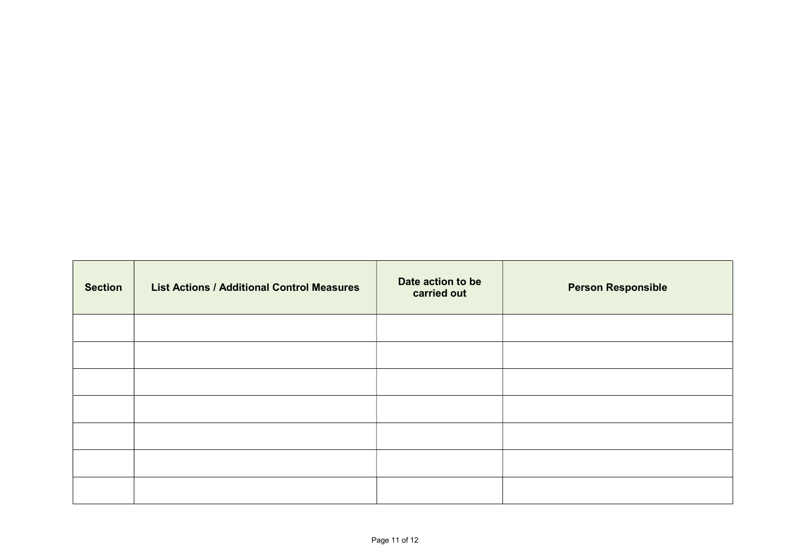| <b>Section</b> | <b>List Actions / Additional Control Measures</b> | Date action to be<br>carried out | <b>Person Responsible</b> |
|----------------|---------------------------------------------------|----------------------------------|---------------------------|
|                |                                                   |                                  |                           |
|                |                                                   |                                  |                           |
|                |                                                   |                                  |                           |
|                |                                                   |                                  |                           |
|                |                                                   |                                  |                           |
|                |                                                   |                                  |                           |
|                |                                                   |                                  |                           |